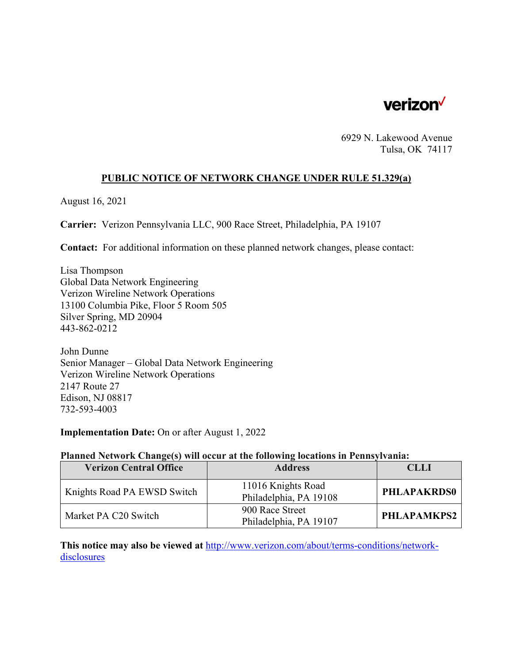

6929 N. Lakewood Avenue Tulsa, OK 74117

# **PUBLIC NOTICE OF NETWORK CHANGE UNDER RULE 51.329(a)**

August 16, 2021

**Carrier:** Verizon Pennsylvania LLC, 900 Race Street, Philadelphia, PA 19107

**Contact:** For additional information on these planned network changes, please contact:

Lisa Thompson Global Data Network Engineering Verizon Wireline Network Operations 13100 Columbia Pike, Floor 5 Room 505 Silver Spring, MD 20904 443-862-0212

John Dunne Senior Manager – Global Data Network Engineering Verizon Wireline Network Operations 2147 Route 27 Edison, NJ 08817 732-593-4003

**Implementation Date:** On or after August 1, 2022

#### **Planned Network Change(s) will occur at the following locations in Pennsylvania:**

| <b>Verizon Central Office</b> | <b>Address</b>                               | <b>CLLI</b>        |
|-------------------------------|----------------------------------------------|--------------------|
| Knights Road PA EWSD Switch   | 11016 Knights Road<br>Philadelphia, PA 19108 | <b>PHLAPAKRDS0</b> |
| Market PA C20 Switch          | 900 Race Street<br>Philadelphia, PA 19107    | PHLAPAMKPS2        |

**This notice may also be viewed at** http://www.verizon.com/about/terms-conditions/networkdisclosures